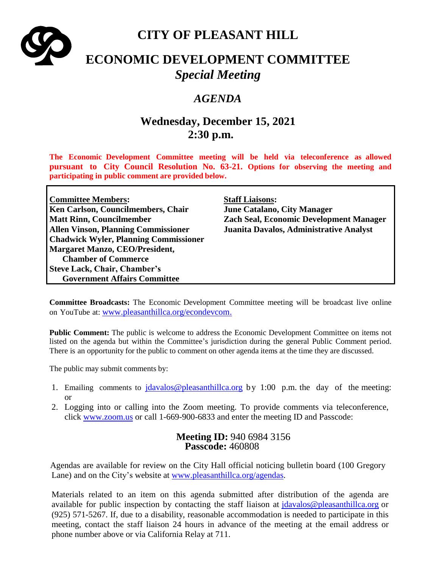

## **CITY OF PLEASANT HILL**

# **ECONOMIC DEVELOPMENT COMMITTEE** *Special Meeting*

### *AGENDA*

## **Wednesday, December 15, 2021 2:30 p.m.**

**The Economic Development Committee meeting will be held via teleconference as allowed pursuant to City Council Resolution No. 63-21. Options for observing the meeting and participating in public comment are provided below.**

| <b>Committee Members:</b>                    | <b>Staff Liaisons:</b>                         |
|----------------------------------------------|------------------------------------------------|
| Ken Carlson, Councilmembers, Chair           | <b>June Catalano, City Manager</b>             |
| <b>Matt Rinn, Councilmember</b>              | <b>Zach Seal, Economic Development Manager</b> |
| <b>Allen Vinson, Planning Commissioner</b>   | Juanita Davalos, Administrative Analyst        |
| <b>Chadwick Wyler, Planning Commissioner</b> |                                                |
| <b>Margaret Manzo, CEO/President,</b>        |                                                |
| <b>Chamber of Commerce</b>                   |                                                |
| <b>Steve Lack, Chair, Chamber's</b>          |                                                |
| <b>Government Affairs Committee</b>          |                                                |

**Committee Broadcasts:** The Economic Development Committee meeting will be broadcast live online on YouTube at: [www.pleasanthillca.org/econdevcom.](http://www.pleasanthillca.org/econdevcom)

**Public Comment:** The public is welcome to address the Economic Development Committee on items not listed on the agenda but within the Committee's jurisdiction during the general Public Comment period. There is an opportunity for the public to comment on other agenda items at the time they are discussed.

The public may submit comments by:

- 1. Emailing comments to  $\frac{\partial^2 u}{\partial x \partial y}$  is determining by 1:00 p.m. the day of the meeting: or
- 2. Logging into or calling into the Zoom meeting. To provide comments via teleconference, click [www.zoom.us](http://www.zoom.us/) or call 1-669-900-6833 and enter the meeting ID and Passcode:

#### **Meeting ID:** 940 6984 3156 **Passcode:** 460808

Agendas are available for review on the City Hall official noticing bulletin board (100 Gregory Lane) and on the City's website at [www.pleasanthillca.org/agendas.](http://www.pleasanthillca.org/agendas)

Materials related to an item on this agenda submitted after distribution of the agenda are available for public inspection by contacting the staff liaison at [jdavalos@pleasanthillca.org](mailto:jdavalos@pleasanthillca.org) or (925) 571-5267. If, due to a disability, reasonable accommodation is needed to participate in this meeting, contact the staff liaison 24 hours in advance of the meeting at the email address or phone number above or via California Relay at 711.